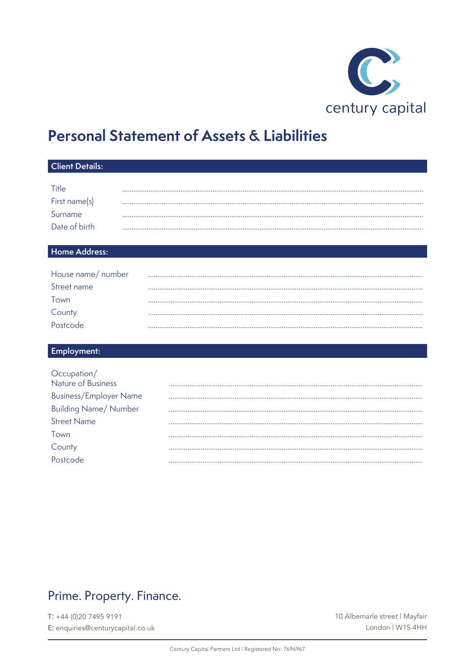

## **Personal Statement of Assets & Liabilities**

| <b>Client Details:</b>                                                                                                                                 |  |  |  |  |  |
|--------------------------------------------------------------------------------------------------------------------------------------------------------|--|--|--|--|--|
| Title<br>First name(s)<br>Surname<br>Date of birth                                                                                                     |  |  |  |  |  |
| Home Address:                                                                                                                                          |  |  |  |  |  |
| House name/ number<br>Street name<br>Town<br>County<br>Postcode                                                                                        |  |  |  |  |  |
| Employment:                                                                                                                                            |  |  |  |  |  |
| Occupation/<br>Nature of Business<br><b>Business/Employer Name</b><br><b>Building Name/ Number</b><br><b>Street Name</b><br>Town<br>County<br>Postcode |  |  |  |  |  |

## Prime. Property. Finance.

 $T: +44(0)2074959191$ E: enquiries@centurycapital.co.uk 10 Albemarle street | Mayfair London | W1S 4HH